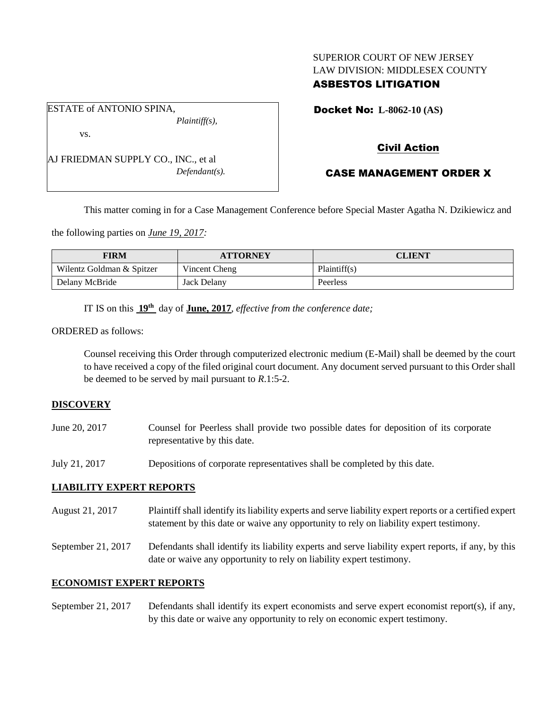# SUPERIOR COURT OF NEW JERSEY LAW DIVISION: MIDDLESEX COUNTY

# ASBESTOS LITIGATION

Docket No: **L-8062-10 (AS)** 

vs.

ESTATE of ANTONIO SPINA,

AJ FRIEDMAN SUPPLY CO., INC., et al *Defendant(s).*

*Plaintiff(s),*

Civil Action

# CASE MANAGEMENT ORDER X

This matter coming in for a Case Management Conference before Special Master Agatha N. Dzikiewicz and

the following parties on *June 19, 2017:*

| <b>FIRM</b>               | <b>ATTORNEY</b> | <b>CLIENT</b> |
|---------------------------|-----------------|---------------|
| Wilentz Goldman & Spitzer | Vincent Cheng   | Plaintiff(s)  |
| Delany McBride            | Jack Delany     | Peerless      |

IT IS on this  $19<sup>th</sup>$  day of **June, 2017**, *effective from the conference date*;

ORDERED as follows:

Counsel receiving this Order through computerized electronic medium (E-Mail) shall be deemed by the court to have received a copy of the filed original court document. Any document served pursuant to this Order shall be deemed to be served by mail pursuant to *R*.1:5-2.

#### **DISCOVERY**

| June 20, 2017 | Counsel for Peerless shall provide two possible dates for deposition of its corporate |  |  |  |
|---------------|---------------------------------------------------------------------------------------|--|--|--|
|               | representative by this date.                                                          |  |  |  |

July 21, 2017 Depositions of corporate representatives shall be completed by this date.

#### **LIABILITY EXPERT REPORTS**

August 21, 2017 Plaintiff shall identify its liability experts and serve liability expert reports or a certified expert statement by this date or waive any opportunity to rely on liability expert testimony.

September 21, 2017 Defendants shall identify its liability experts and serve liability expert reports, if any, by this date or waive any opportunity to rely on liability expert testimony.

#### **ECONOMIST EXPERT REPORTS**

September 21, 2017 Defendants shall identify its expert economists and serve expert economist report(s), if any, by this date or waive any opportunity to rely on economic expert testimony.